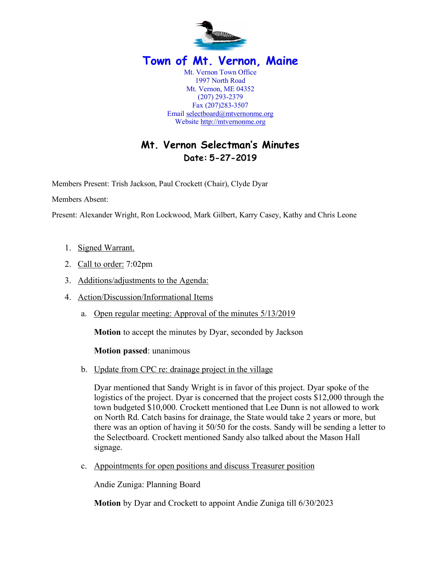

# **Mt. Vernon Selectman's Minutes Date: 5-27-2019**

Members Present: Trish Jackson, Paul Crockett (Chair), Clyde Dyar

Members Absent:

Present: Alexander Wright, Ron Lockwood, Mark Gilbert, Karry Casey, Kathy and Chris Leone

- 1. Signed Warrant.
- 2. Call to order: 7:02pm
- 3. Additions/adjustments to the Agenda:
- 4. Action/Discussion/Informational Items
	- a. Open regular meeting: Approval of the minutes 5/13/2019

**Motion** to accept the minutes by Dyar, seconded by Jackson

**Motion passed**: unanimous

b. Update from CPC re: drainage project in the village

Dyar mentioned that Sandy Wright is in favor of this project. Dyar spoke of the logistics of the project. Dyar is concerned that the project costs \$12,000 through the town budgeted \$10,000. Crockett mentioned that Lee Dunn is not allowed to work on North Rd. Catch basins for drainage, the State would take 2 years or more, but there was an option of having it 50/50 for the costs. Sandy will be sending a letter to the Selectboard. Crockett mentioned Sandy also talked about the Mason Hall signage.

c. Appointments for open positions and discuss Treasurer position

Andie Zuniga: Planning Board

**Motion** by Dyar and Crockett to appoint Andie Zuniga till 6/30/2023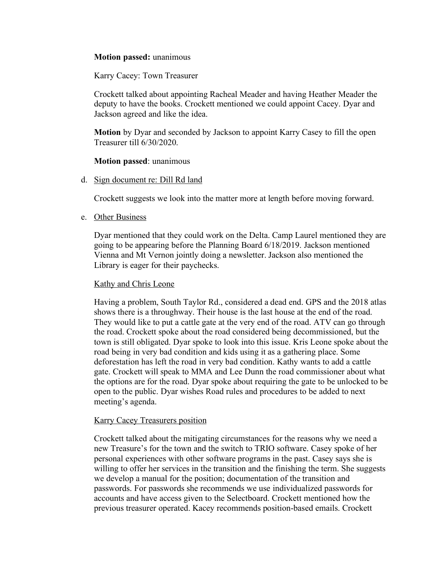## **Motion passed:** unanimous

Karry Cacey: Town Treasurer

Crockett talked about appointing Racheal Meader and having Heather Meader the deputy to have the books. Crockett mentioned we could appoint Cacey. Dyar and Jackson agreed and like the idea.

**Motion** by Dyar and seconded by Jackson to appoint Karry Casey to fill the open Treasurer till 6/30/2020.

#### **Motion passed**: unanimous

d. Sign document re: Dill Rd land

Crockett suggests we look into the matter more at length before moving forward.

e. Other Business

Dyar mentioned that they could work on the Delta. Camp Laurel mentioned they are going to be appearing before the Planning Board 6/18/2019. Jackson mentioned Vienna and Mt Vernon jointly doing a newsletter. Jackson also mentioned the Library is eager for their paychecks.

### Kathy and Chris Leone

Having a problem, South Taylor Rd., considered a dead end. GPS and the 2018 atlas shows there is a throughway. Their house is the last house at the end of the road. They would like to put a cattle gate at the very end of the road. ATV can go through the road. Crockett spoke about the road considered being decommissioned, but the town is still obligated. Dyar spoke to look into this issue. Kris Leone spoke about the road being in very bad condition and kids using it as a gathering place. Some deforestation has left the road in very bad condition. Kathy wants to add a cattle gate. Crockett will speak to MMA and Lee Dunn the road commissioner about what the options are for the road. Dyar spoke about requiring the gate to be unlocked to be open to the public. Dyar wishes Road rules and procedures to be added to next meeting's agenda.

#### Karry Cacey Treasurers position

Crockett talked about the mitigating circumstances for the reasons why we need a new Treasure's for the town and the switch to TRIO software. Casey spoke of her personal experiences with other software programs in the past. Casey says she is willing to offer her services in the transition and the finishing the term. She suggests we develop a manual for the position; documentation of the transition and passwords. For passwords she recommends we use individualized passwords for accounts and have access given to the Selectboard. Crockett mentioned how the previous treasurer operated. Kacey recommends position-based emails. Crockett